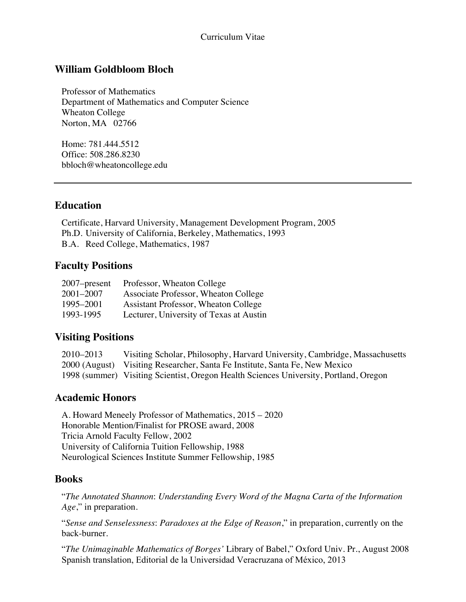#### Curriculum Vitae

### **William Goldbloom Bloch**

Professor of Mathematics Department of Mathematics and Computer Science Wheaton College Norton, MA 02766

Home: 781.444.5512 Office: 508.286.8230 bbloch@wheatoncollege.edu

### **Education**

Certificate, Harvard University, Management Development Program, 2005 Ph.D. University of California, Berkeley, Mathematics, 1993 B.A. Reed College, Mathematics, 1987

### **Faculty Positions**

| $2007$ -present | Professor, Wheaton College              |
|-----------------|-----------------------------------------|
| $2001 - 2007$   | Associate Professor, Wheaton College    |
| 1995-2001       | Assistant Professor, Wheaton College    |
| 1993-1995       | Lecturer, University of Texas at Austin |

### **Visiting Positions**

| 2010–2013 | Visiting Scholar, Philosophy, Harvard University, Cambridge, Massachusetts            |
|-----------|---------------------------------------------------------------------------------------|
|           | 2000 (August) Visiting Researcher, Santa Fe Institute, Santa Fe, New Mexico           |
|           | 1998 (summer) Visiting Scientist, Oregon Health Sciences University, Portland, Oregon |

#### **Academic Honors**

A. Howard Meneely Professor of Mathematics, 2015 – 2020 Honorable Mention/Finalist for PROSE award, 2008 Tricia Arnold Faculty Fellow, 2002 University of California Tuition Fellowship, 1988 Neurological Sciences Institute Summer Fellowship, 1985

#### **Books**

"*The Annotated Shannon*: *Understanding Every Word of the Magna Carta of the Information Age*," in preparation.

"*Sense and Senselessness*: *Paradoxes at the Edge of Reason*," in preparation, currently on the back-burner.

"*The Unimaginable Mathematics of Borges'* Library of Babel," Oxford Univ. Pr., August 2008 Spanish translation, Editorial de la Universidad Veracruzana of México, 2013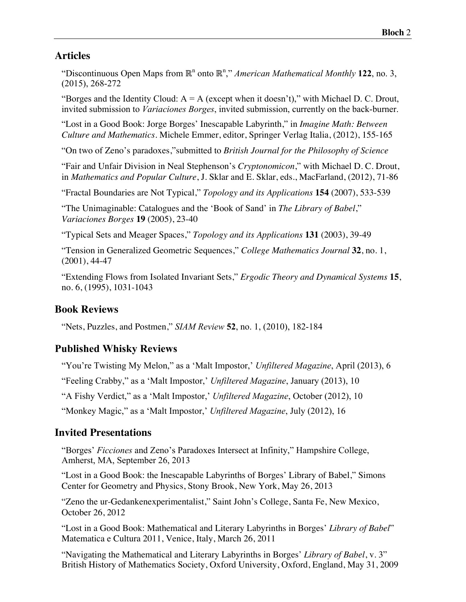### **Articles**

"Discontinuous Open Maps from ℝ<sup>n</sup> onto ℝ<sup>n</sup>," *American Mathematical Monthly* 122, no. 3, (2015), 268-272

"Borges and the Identity Cloud:  $A = A$  (except when it doesn't)," with Michael D. C. Drout, invited submission to *Variaciones Borges*, invited submission, currently on the back-burner.

"Lost in a Good Book: Jorge Borges' Inescapable Labyrinth," in *Imagine Math: Between Culture and Mathematics*. Michele Emmer, editor, Springer Verlag Italia, (2012), 155-165

"On two of Zeno's paradoxes,"submitted to *British Journal for the Philosophy of Science*

"Fair and Unfair Division in Neal Stephenson's *Cryptonomicon*," with Michael D. C. Drout, in *Mathematics and Popular Culture*, J. Sklar and E. Sklar, eds., MacFarland, (2012), 71-86

"Fractal Boundaries are Not Typical," *Topology and its Applications* **154** (2007), 533-539

"The Unimaginable: Catalogues and the 'Book of Sand' in *The Library of Babel*," *Variaciones Borges* **19** (2005), 23-40

"Typical Sets and Meager Spaces," *Topology and its Applications* **131** (2003), 39-49

"Tension in Generalized Geometric Sequences," *College Mathematics Journal* **32**, no. 1, (2001), 44-47

"Extending Flows from Isolated Invariant Sets," *Ergodic Theory and Dynamical Systems* **15**, no. 6, (1995), 1031-1043

#### **Book Reviews**

"Nets, Puzzles, and Postmen," *SIAM Review* **52**, no. 1, (2010), 182-184

### **Published Whisky Reviews**

"You're Twisting My Melon," as a 'Malt Impostor,' *Unfiltered Magazine*, April (2013), 6

"Feeling Crabby," as a 'Malt Impostor,' *Unfiltered Magazine*, January (2013), 10

"A Fishy Verdict," as a 'Malt Impostor,' *Unfiltered Magazine*, October (2012), 10

"Monkey Magic," as a 'Malt Impostor,' *Unfiltered Magazine*, July (2012), 16

#### **Invited Presentations**

"Borges' *Ficciones* and Zeno's Paradoxes Intersect at Infinity," Hampshire College, Amherst, MA, September 26, 2013

"Lost in a Good Book: the Inescapable Labyrinths of Borges' Library of Babel," Simons Center for Geometry and Physics, Stony Brook, New York, May 26, 2013

"Zeno the ur-Gedankenexperimentalist," Saint John's College, Santa Fe, New Mexico, October 26, 2012

"Lost in a Good Book: Mathematical and Literary Labyrinths in Borges' *Library of Babel*" Matematica e Cultura 2011, Venice, Italy, March 26, 2011

"Navigating the Mathematical and Literary Labyrinths in Borges' *Library of Babel*, v. 3" British History of Mathematics Society, Oxford University, Oxford, England, May 31, 2009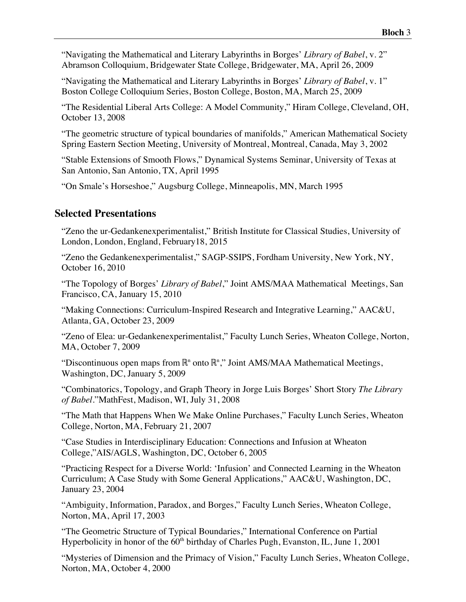"Navigating the Mathematical and Literary Labyrinths in Borges' *Library of Babel*, v. 2" Abramson Colloquium, Bridgewater State College, Bridgewater, MA, April 26, 2009

"Navigating the Mathematical and Literary Labyrinths in Borges' *Library of Babel*, v. 1" Boston College Colloquium Series, Boston College, Boston, MA, March 25, 2009

"The Residential Liberal Arts College: A Model Community," Hiram College, Cleveland, OH, October 13, 2008

"The geometric structure of typical boundaries of manifolds," American Mathematical Society Spring Eastern Section Meeting, University of Montreal, Montreal, Canada, May 3, 2002

"Stable Extensions of Smooth Flows," Dynamical Systems Seminar, University of Texas at San Antonio, San Antonio, TX, April 1995

"On Smale's Horseshoe," Augsburg College, Minneapolis, MN, March 1995

#### **Selected Presentations**

"Zeno the ur-Gedankenexperimentalist," British Institute for Classical Studies, University of London, London, England, February18, 2015

"Zeno the Gedankenexperimentalist," SAGP-SSIPS, Fordham University, New York, NY, October 16, 2010

"The Topology of Borges' *Library of Babel*," Joint AMS/MAA Mathematical Meetings, San Francisco, CA, January 15, 2010

"Making Connections: Curriculum-Inspired Research and Integrative Learning," AAC&U, Atlanta, GA, October 23, 2009

"Zeno of Elea: ur-Gedankenexperimentalist," Faculty Lunch Series, Wheaton College, Norton, MA, October 7, 2009

"Discontinuous open maps from  $\mathbb{R}^n$  onto  $\mathbb{R}^n$ ," Joint AMS/MAA Mathematical Meetings, Washington, DC, January 5, 2009

"Combinatorics, Topology, and Graph Theory in Jorge Luis Borges' Short Story *The Library of Babel*."MathFest, Madison, WI, July 31, 2008

"The Math that Happens When We Make Online Purchases," Faculty Lunch Series, Wheaton College, Norton, MA, February 21, 2007

"Case Studies in Interdisciplinary Education: Connections and Infusion at Wheaton College,"AIS/AGLS, Washington, DC, October 6, 2005

"Practicing Respect for a Diverse World: 'Infusion' and Connected Learning in the Wheaton Curriculum; A Case Study with Some General Applications," AAC&U, Washington, DC, January 23, 2004

"Ambiguity, Information, Paradox, and Borges," Faculty Lunch Series, Wheaton College, Norton, MA, April 17, 2003

"The Geometric Structure of Typical Boundaries," International Conference on Partial Hyperbolicity in honor of the  $60<sup>th</sup>$  birthday of Charles Pugh, Evanston, IL, June 1, 2001

"Mysteries of Dimension and the Primacy of Vision," Faculty Lunch Series, Wheaton College, Norton, MA, October 4, 2000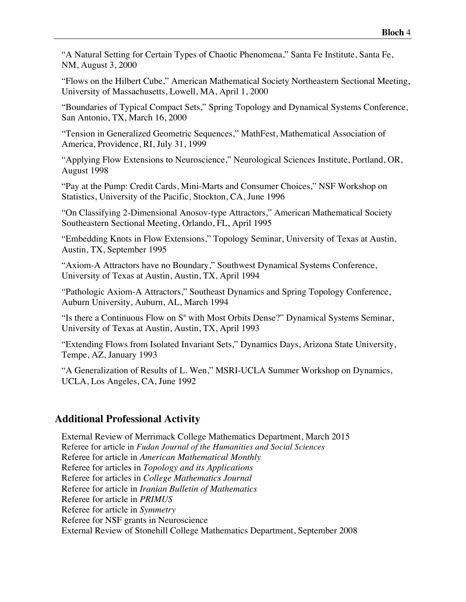"A Natural Setting for Certain Types of Chaotic Phenomena," Santa Fe Institute, Santa Fe, NM, August 3, 2000

"Flows on the Hilbert Cube," American Mathematical Society Northeastern Sectional Meeting, University of Massachusetts, Lowell, MA, April 1, 2000

"Boundaries of Typical Compact Sets," Spring Topology and Dynamical Systems Conference, San Antonio, TX, March 16, 2000

"Tension in Generalized Geometric Sequences," MathFest, Mathematical Association of America, Providence, RI, July 31, 1999

"Applying Flow Extensions to Neuroscience," Neurological Sciences Institute, Portland, OR, August 1998

"Pay at the Pump: Credit Cards, Mini-Marts and Consumer Choices," NSF Workshop on Statistics, University of the Pacific, Stockton, CA, June 1996

"On Classifying 2-Dimensional Anosov-type Attractors," American Mathematical Society Southeastern Sectional Meeting, Orlando, FL, April 1995

"Embedding Knots in Flow Extensions," Topology Seminar, University of Texas at Austin, Austin, TX, September 1995

"Axiom-A Attractors have no Boundary," Southwest Dynamical Systems Conference, University of Texas at Austin, Austin, TX, April 1994

"Pathologic Axiom-A Attractors," Southeast Dynamics and Spring Topology Conference, Auburn University, Auburn, AL, March 1994

"Is there a Continuous Flow on  $S<sup>n</sup>$  with Most Orbits Dense?" Dynamical Systems Seminar, University of Texas at Austin, Austin, TX, April 1993

"Extending Flows from Isolated Invariant Sets," Dynamics Days, Arizona State University, Tempe, AZ, January 1993

"A Generalization of Results of L. Wen," MSRI-UCLA Summer Workshop on Dynamics, UCLA, Los Angeles, CA, June 1992

### **Additional Professional Activity**

External Review of Merrimack College Mathematics Department, March 2015 Referee for article in *Fudan Journal of the Humanities and Social Sciences* Referee for article in *American Mathematical Monthly* Referee for articles in *Topology and its Applications* Referee for articles in *College Mathematics Journal* Referee for article in *Iranian Bulletin of Mathematics* Referee for article in *PRIMUS* Referee for article in *Symmetry* Referee for NSF grants in Neuroscience External Review of Stonehill College Mathematics Department, September 2008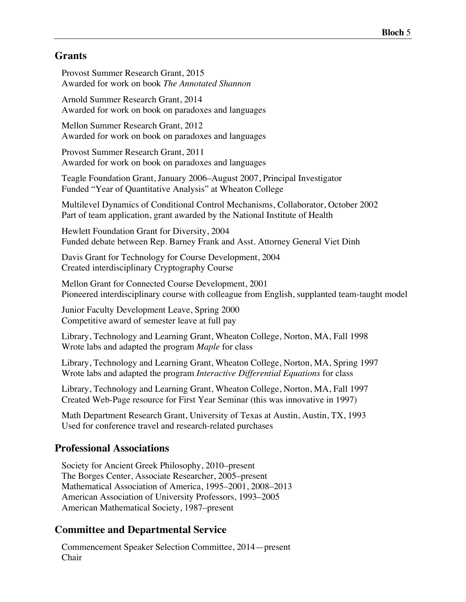### **Grants**

Provost Summer Research Grant, 2015 Awarded for work on book *The Annotated Shannon*

Arnold Summer Research Grant, 2014 Awarded for work on book on paradoxes and languages

Mellon Summer Research Grant, 2012 Awarded for work on book on paradoxes and languages

Provost Summer Research Grant, 2011 Awarded for work on book on paradoxes and languages

Teagle Foundation Grant, January 2006–August 2007, Principal Investigator Funded "Year of Quantitative Analysis" at Wheaton College

Multilevel Dynamics of Conditional Control Mechanisms, Collaborator, October 2002 Part of team application, grant awarded by the National Institute of Health

Hewlett Foundation Grant for Diversity, 2004 Funded debate between Rep. Barney Frank and Asst. Attorney General Viet Dinh

Davis Grant for Technology for Course Development, 2004 Created interdisciplinary Cryptography Course

Mellon Grant for Connected Course Development, 2001 Pioneered interdisciplinary course with colleague from English, supplanted team-taught model

Junior Faculty Development Leave, Spring 2000 Competitive award of semester leave at full pay

Library, Technology and Learning Grant, Wheaton College, Norton, MA, Fall 1998 Wrote labs and adapted the program *Maple* for class

Library, Technology and Learning Grant, Wheaton College, Norton, MA, Spring 1997 Wrote labs and adapted the program *Interactive Differential Equations* for class

Library, Technology and Learning Grant, Wheaton College, Norton, MA, Fall 1997 Created Web-Page resource for First Year Seminar (this was innovative in 1997)

Math Department Research Grant, University of Texas at Austin, Austin, TX, 1993 Used for conference travel and research-related purchases

### **Professional Associations**

Society for Ancient Greek Philosophy, 2010–present The Borges Center, Associate Researcher, 2005–present Mathematical Association of America, 1995–2001, 2008–2013 American Association of University Professors, 1993–2005 American Mathematical Society, 1987–present

# **Committee and Departmental Service**

Commencement Speaker Selection Committee, 2014—present Chair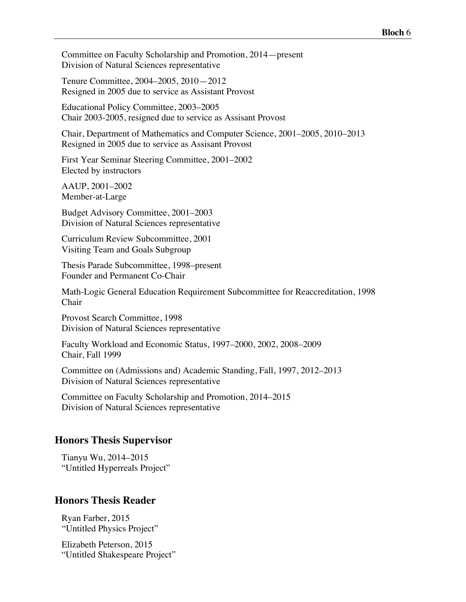Committee on Faculty Scholarship and Promotion, 2014—present Division of Natural Sciences representative

Tenure Committee, 2004–2005, 2010—2012 Resigned in 2005 due to service as Assistant Provost

Educational Policy Committee, 2003–2005 Chair 2003-2005, resigned due to service as Assisant Provost

Chair, Department of Mathematics and Computer Science, 2001–2005, 2010–2013 Resigned in 2005 due to service as Assisant Provost

First Year Seminar Steering Committee, 2001–2002 Elected by instructors

AAUP, 2001–2002 Member-at-Large

Budget Advisory Committee, 2001–2003 Division of Natural Sciences representative

Curriculum Review Subcommittee, 2001 Visiting Team and Goals Subgroup

Thesis Parade Subcommittee, 1998–present Founder and Permanent Co-Chair

Math-Logic General Education Requirement Subcommittee for Reaccreditation, 1998 Chair

Provost Search Committee, 1998 Division of Natural Sciences representative

Faculty Workload and Economic Status, 1997–2000, 2002, 2008–2009 Chair, Fall 1999

Committee on (Admissions and) Academic Standing, Fall, 1997, 2012–2013 Division of Natural Sciences representative

Committee on Faculty Scholarship and Promotion, 2014–2015 Division of Natural Sciences representative

#### **Honors Thesis Supervisor**

Tianyu Wu, 2014–2015 "Untitled Hyperreals Project"

#### **Honors Thesis Reader**

Ryan Farber, 2015 "Untitled Physics Project"

Elizabeth Peterson, 2015 "Untitled Shakespeare Project"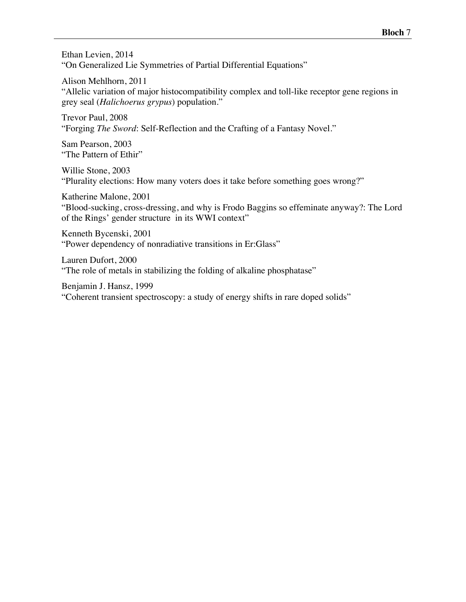Ethan Levien, 2014 "On Generalized Lie Symmetries of Partial Differential Equations"

Alison Mehlhorn, 2011

"Allelic variation of major histocompatibility complex and toll-like receptor gene regions in grey seal (*Halichoerus grypus*) population."

Trevor Paul, 2008 "Forging *The Sword*: Self-Reflection and the Crafting of a Fantasy Novel."

Sam Pearson, 2003 "The Pattern of Ethir"

Willie Stone, 2003 "Plurality elections: How many voters does it take before something goes wrong?"

Katherine Malone, 2001

"Blood-sucking, cross-dressing, and why is Frodo Baggins so effeminate anyway?: The Lord of the Rings' gender structure in its WWI context"

Kenneth Bycenski, 2001 "Power dependency of nonradiative transitions in Er:Glass"

Lauren Dufort, 2000 "The role of metals in stabilizing the folding of alkaline phosphatase"

Benjamin J. Hansz, 1999 "Coherent transient spectroscopy: a study of energy shifts in rare doped solids"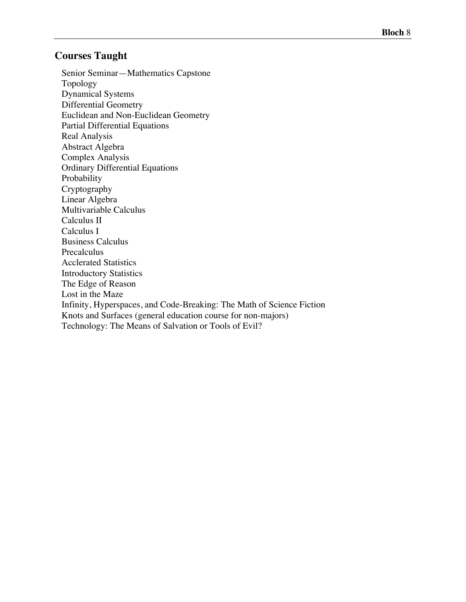### **Courses Taught**

Senior Seminar—Mathematics Capstone Topology Dynamical Systems Differential Geometry Euclidean and Non-Euclidean Geometry Partial Differential Equations Real Analysis Abstract Algebra Complex Analysis Ordinary Differential Equations Probability Cryptography Linear Algebra Multivariable Calculus Calculus II Calculus I Business Calculus Precalculus Acclerated Statistics Introductory Statistics The Edge of Reason Lost in the Maze Infinity, Hyperspaces, and Code-Breaking: The Math of Science Fiction Knots and Surfaces (general education course for non-majors) Technology: The Means of Salvation or Tools of Evil?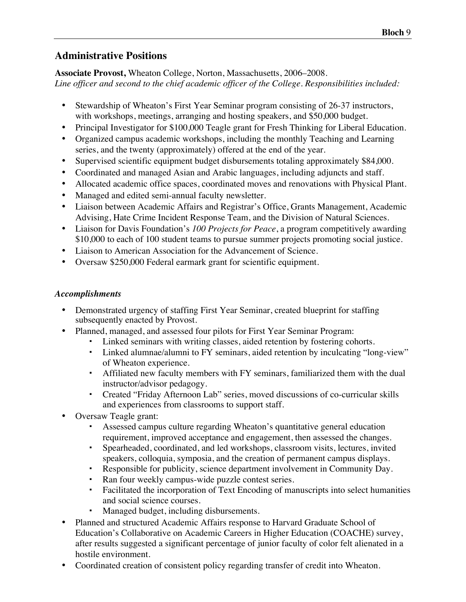# **Administrative Positions**

**Associate Provost,** Wheaton College, Norton, Massachusetts, 2006–2008. *Line officer and second to the chief academic officer of the College. Responsibilities included:*

- Stewardship of Wheaton's First Year Seminar program consisting of 26-37 instructors, with workshops, meetings, arranging and hosting speakers, and \$50,000 budget.
- Principal Investigator for \$100,000 Teagle grant for Fresh Thinking for Liberal Education.
- Organized campus academic workshops, including the monthly Teaching and Learning series, and the twenty (approximately) offered at the end of the year.
- Supervised scientific equipment budget disbursements totaling approximately \$84,000.
- Coordinated and managed Asian and Arabic languages, including adjuncts and staff.
- Allocated academic office spaces, coordinated moves and renovations with Physical Plant.
- Managed and edited semi-annual faculty newsletter.
- Liaison between Academic Affairs and Registrar's Office, Grants Management, Academic Advising, Hate Crime Incident Response Team, and the Division of Natural Sciences.
- Liaison for Davis Foundation's *100 Projects for Peace*, a program competitively awarding \$10,000 to each of 100 student teams to pursue summer projects promoting social justice.
- Liaison to American Association for the Advancement of Science.
- Oversaw \$250,000 Federal earmark grant for scientific equipment.

### *Accomplishments*

- Demonstrated urgency of staffing First Year Seminar, created blueprint for staffing subsequently enacted by Provost.
- Planned, managed, and assessed four pilots for First Year Seminar Program:
	- Linked seminars with writing classes, aided retention by fostering cohorts.
	- Linked alumnae/alumni to FY seminars, aided retention by inculcating "long-view" of Wheaton experience.
	- Affiliated new faculty members with FY seminars, familiarized them with the dual instructor/advisor pedagogy.
	- Created "Friday Afternoon Lab" series, moved discussions of co-curricular skills and experiences from classrooms to support staff.
- Oversaw Teagle grant:
	- Assessed campus culture regarding Wheaton's quantitative general education requirement, improved acceptance and engagement, then assessed the changes.
	- Spearheaded, coordinated, and led workshops, classroom visits, lectures, invited speakers, colloquia, symposia, and the creation of permanent campus displays.
	- Responsible for publicity, science department involvement in Community Day.
	- Ran four weekly campus-wide puzzle contest series.
	- Facilitated the incorporation of Text Encoding of manuscripts into select humanities and social science courses.
	- Managed budget, including disbursements.
- Planned and structured Academic Affairs response to Harvard Graduate School of Education's Collaborative on Academic Careers in Higher Education (COACHE) survey, after results suggested a significant percentage of junior faculty of color felt alienated in a hostile environment.
- Coordinated creation of consistent policy regarding transfer of credit into Wheaton.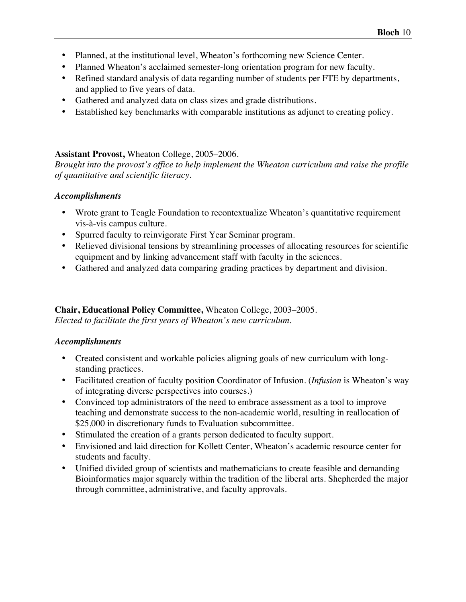- Planned, at the institutional level, Wheaton's forthcoming new Science Center.
- Planned Wheaton's acclaimed semester-long orientation program for new faculty.
- Refined standard analysis of data regarding number of students per FTE by departments, and applied to five years of data.
- Gathered and analyzed data on class sizes and grade distributions.
- Established key benchmarks with comparable institutions as adjunct to creating policy.

#### **Assistant Provost,** Wheaton College, 2005–2006.

*Brought into the provost's office to help implement the Wheaton curriculum and raise the profile of quantitative and scientific literacy.*

#### *Accomplishments*

- Wrote grant to Teagle Foundation to recontextualize Wheaton's quantitative requirement vis-à-vis campus culture.
- Spurred faculty to reinvigorate First Year Seminar program.
- Relieved divisional tensions by streamlining processes of allocating resources for scientific equipment and by linking advancement staff with faculty in the sciences.
- Gathered and analyzed data comparing grading practices by department and division.

# **Chair, Educational Policy Committee,** Wheaton College, 2003–2005.

*Elected to facilitate the first years of Wheaton's new curriculum.*

### *Accomplishments*

- Created consistent and workable policies aligning goals of new curriculum with longstanding practices.
- Facilitated creation of faculty position Coordinator of Infusion. (*Infusion* is Wheaton's way of integrating diverse perspectives into courses.)
- Convinced top administrators of the need to embrace assessment as a tool to improve teaching and demonstrate success to the non-academic world, resulting in reallocation of \$25,000 in discretionary funds to Evaluation subcommittee.
- Stimulated the creation of a grants person dedicated to faculty support.
- Envisioned and laid direction for Kollett Center, Wheaton's academic resource center for students and faculty.
- Unified divided group of scientists and mathematicians to create feasible and demanding Bioinformatics major squarely within the tradition of the liberal arts. Shepherded the major through committee, administrative, and faculty approvals.